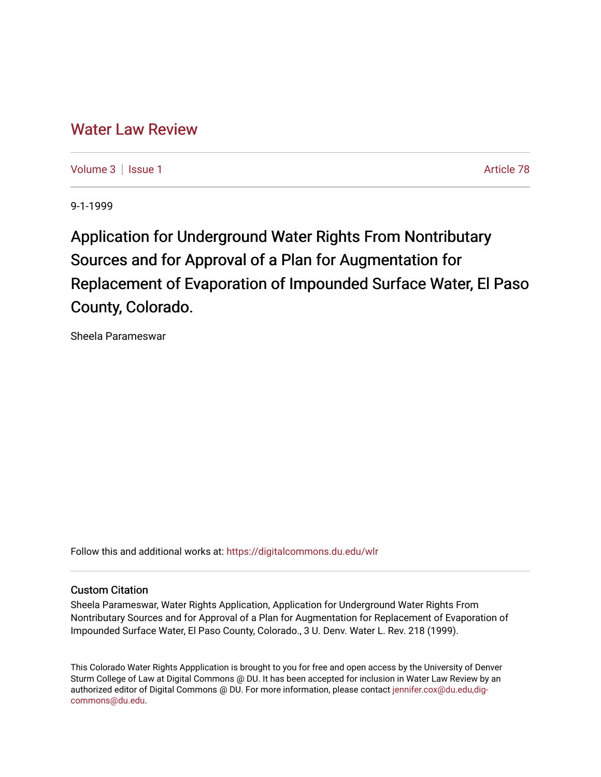# [Water Law Review](https://digitalcommons.du.edu/wlr)

[Volume 3](https://digitalcommons.du.edu/wlr/vol3) | [Issue 1](https://digitalcommons.du.edu/wlr/vol3/iss1) Article 78

9-1-1999

Application for Underground Water Rights From Nontributary Sources and for Approval of a Plan for Augmentation for Replacement of Evaporation of Impounded Surface Water, El Paso County, Colorado.

Sheela Parameswar

Follow this and additional works at: [https://digitalcommons.du.edu/wlr](https://digitalcommons.du.edu/wlr?utm_source=digitalcommons.du.edu%2Fwlr%2Fvol3%2Fiss1%2F78&utm_medium=PDF&utm_campaign=PDFCoverPages) 

# Custom Citation

Sheela Parameswar, Water Rights Application, Application for Underground Water Rights From Nontributary Sources and for Approval of a Plan for Augmentation for Replacement of Evaporation of Impounded Surface Water, El Paso County, Colorado., 3 U. Denv. Water L. Rev. 218 (1999).

This Colorado Water Rights Appplication is brought to you for free and open access by the University of Denver Sturm College of Law at Digital Commons @ DU. It has been accepted for inclusion in Water Law Review by an authorized editor of Digital Commons @ DU. For more information, please contact [jennifer.cox@du.edu,dig](mailto:jennifer.cox@du.edu,dig-commons@du.edu)[commons@du.edu.](mailto:jennifer.cox@du.edu,dig-commons@du.edu)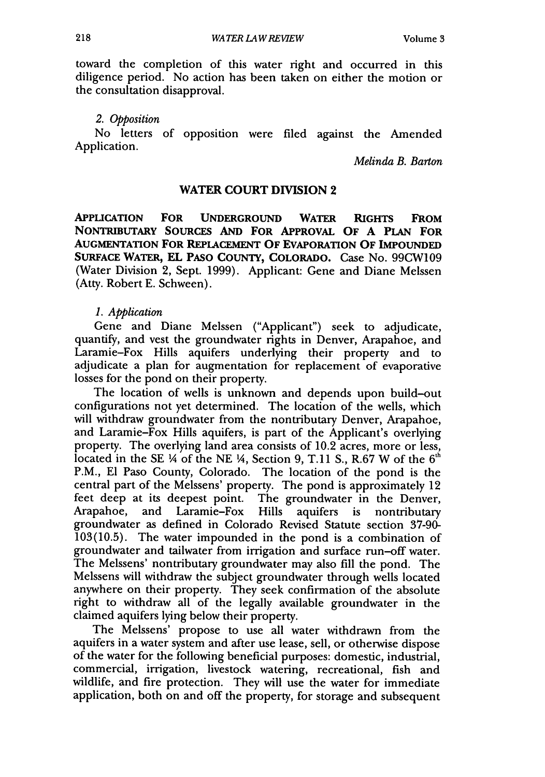toward the completion of this water right and occurred in this diligence period. No action has been taken on either the motion or the consultation disapproval.

#### *2. Opposition*

No letters of opposition were filed against the Amended Application.

*Melinda B. Barton*

#### **WATER COURT DIVISION** 2

**APPLICATION FOR UNDERGROUND WATER RIGHTS FROM NONTRIBUTARY SOURCES AND FOR APPROVAL OF A PLAN FOR AUGMENTATION FOR REPLACEMENT OF EVAPORATION OF IMPOUNDED SURFACE WATER, EL PASO COUNTY, COLORADO.** Case No. **99CW109** (Water Division 2, Sept. 1999). Applicant: Gene and Diane Melssen (Atty. Robert E. Schween).

#### *1. Application*

Gene and Diane Melssen ("Applicant") seek to adjudicate, quantify, and vest the groundwater rights in Denver, Arapahoe, and Laramie-Fox Hills aquifers underlying their property and to adjudicate a plan for augmentation for replacement of evaporative losses for the pond on their property.

The location of wells is unknown and depends upon build-out configurations not yet determined. The location of the wells, which will withdraw groundwater from the nontributary Denver, Arapahoe, and Laramie-Fox Hills aquifers, is part of the Applicant's overlying property. The overlying land area consists of 10.2 acres, more or less, located in the SE  $\frac{1}{4}$  of the NE  $\frac{1}{4}$ , Section 9, T.11 S., R.67 W of the 6<sup>th</sup> P.M., **El** Paso County, Colorado. The location of the pond is the central part of the Melssens' property. The pond is approximately 12 feet deep at its deepest point. The groundwater in the Denver, Arapahoe, and Laramie-Fox Hills aquifers is nontributary groundwater as defined in Colorado Revised Statute section 37-90- 103(10.5). The water impounded in the pond is a combination of groundwater and tailwater from irrigation and surface run-off water. The Melssens' nontributary groundwater may also fill the pond. The Melssens will withdraw the subject groundwater through wells located anywhere on their property. They seek confirmation of the absolute right to withdraw all of the legally available groundwater in the claimed aquifers lying below their property.

The Melssens' propose to use all water withdrawn from the aquifers in a water system and after use lease, sell, or otherwise dispose of the water for the following beneficial purposes: domestic, industrial, commercial, irrigation, livestock watering, recreational, fish and wildlife, and fire protection. They will use the water for immediate application, both on and off the property, for storage and subsequent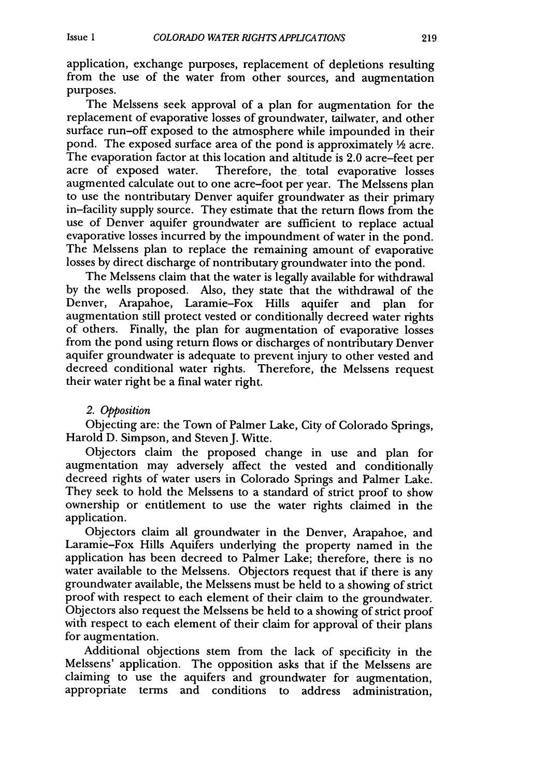application, exchange purposes, replacement of depletions resulting from the use of the water from other sources, and augmentation purposes.

The Melssens seek approval of a plan for augmentation for the replacement of evaporative losses of groundwater, tailwater, and other surface run-off exposed to the atmosphere while impounded in their pond. The exposed surface area of the pond is approximately  $\frac{1}{2}$  acre. The evaporation factor at this location and altitude is 2.0 acre-feet per acre of exposed water. Therefore, the total evaporative losses Therefore, the total evaporative losses augmented calculate out to one acre-foot per year. The Melssens plan to use the nontributary Denver aquifer groundwater as their primary in-facility supply source. They estimate that the return flows from the use of Denver aquifer groundwater are sufficient to replace actual evaporative losses incurred by the impoundment of water in the pond. The Melssens plan to replace the remaining amount of evaporative losses by direct discharge of nontributary groundwater into the pond.

The Melssens claim that the water is legally available for withdrawal by the wells proposed. Also, they state that the withdrawal of the Denver, Arapahoe, Laramie-Fox Hills aquifer and plan for augmentation still protect vested or conditionally decreed water rights of others. Finally, the plan for augmentation of evaporative losses from the pond using return flows or discharges of nontributary Denver aquifer groundwater is adequate to prevent injury to other vested and decreed conditional water rights. Therefore, the Melssens request their water right be a final water right.

#### *2. Opposition*

Objecting are: the Town of Palmer Lake, City of Colorado Springs, Harold D. Simpson, and Steven J. Witte.

Objectors claim the proposed change in use and plan for augmentation may adversely affect the vested and conditionally decreed rights of water users in Colorado Springs and Palmer Lake. They seek to hold the Melssens to a standard of strict proof to show ownership or entitlement to use the water rights claimed in the application.

Objectors claim all groundwater in the Denver, Arapahoe, and Laramie-Fox Hills Aquifers underlying the property named in the application has been decreed to Palmer Lake; therefore, there is no water available to the Melssens. Objectors request that if there is any groundwater available, the Melssens must be held to a showing of strict proof with respect to each element of their claim to the groundwater. Objectors also request the Melssens be held to a showing of strict proof with respect to each element of their claim for approval of their plans for augmentation.

Additional objections stem from the lack of specificity in the Melssens' application. The opposition asks that if the Melssens are claiming to use the aquifers and groundwater for augmentation, appropriate terms and conditions to address administration,